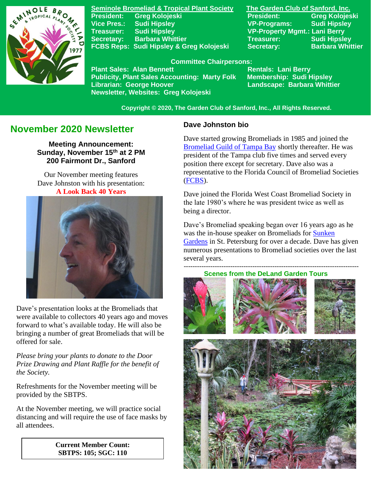

**Seminole Bromeliad & Tropical Plant Society The Garden Club of Sanford, Inc. Vice Pres.: Sudi Hipsley VP-Programs: Sudi Hipsley Treasurer: Sudi Hipsley VP-Property Mgmt.: Lani Berry Secretary:** Barbara Whittier **Network Treasurer:** Sudi Hipsley FCBS Reps: Sudi Hipsley & Greg Kolojeski Secretary: Barbara Whittier

**President: Greg Kolojeski President: Greg Kolojeski** 

#### **Committee Chairpersons:**

Plant Sales: Alan Bennett<br>Publicity, Plant Sales Accounting: Marty Folk Membership: Sudi Hipsley **Publicity, Plant Sales Accounting: Marty Folk Librarian: George Hoover Landscape: Barbara Whittier Newsletter, Websites: Greg Kolojeski**

 **Copyright © 2020, The Garden Club of Sanford, Inc., All Rights Reserved.**

# **November 2020 Newsletter**

**Meeting Announcement: Sunday, November 15th at 2 PM 200 Fairmont Dr., Sanford**

Our November meeting features Dave Johnston with his presentation: **A Look Back 40 Years**



Dave's presentation looks at the Bromeliads that were available to collectors 40 years ago and moves forward to what's available today. He will also be bringing a number of great Bromeliads that will be offered for sale.

*Please bring your plants to donate to the Door Prize Drawing and Plant Raffle for the benefit of the Society.*

Refreshments for the November meeting will be provided by the SBTPS.

At the November meeting, we will practice social distancing and will require the use of face masks by all attendees.

> **Current Member Count: SBTPS: 105; SGC: 110**

#### **Dave Johnston bio**

Dave started growing Bromeliads in 1985 and joined the [Bromeliad Guild of Tampa Bay](http://www.bromeliadguildoftampabay.org/) shortly thereafter. He was president of the Tampa club five times and served every position there except for secretary. Dave also was a representative to the Florida Council of Bromeliad Societies [\(FCBS\)](http://fcbs.org/_index.php).

Dave joined the Florida West Coast Bromeliad Society in the late 1980's where he was president twice as well as being a director.

Dave's Bromeliad speaking began over 16 years ago as he was the in-house speaker on Bromeliads for [Sunken](http://www.stpete.org/attractions/sunken_gardens/index.php)  [Gardens](http://www.stpete.org/attractions/sunken_gardens/index.php) in St. Petersburg for over a decade. Dave has given numerous presentations to Bromeliad societies over the last several years.

-------------------------------------------------------------------------------  **Scenes from the DeLand Garden Tours**